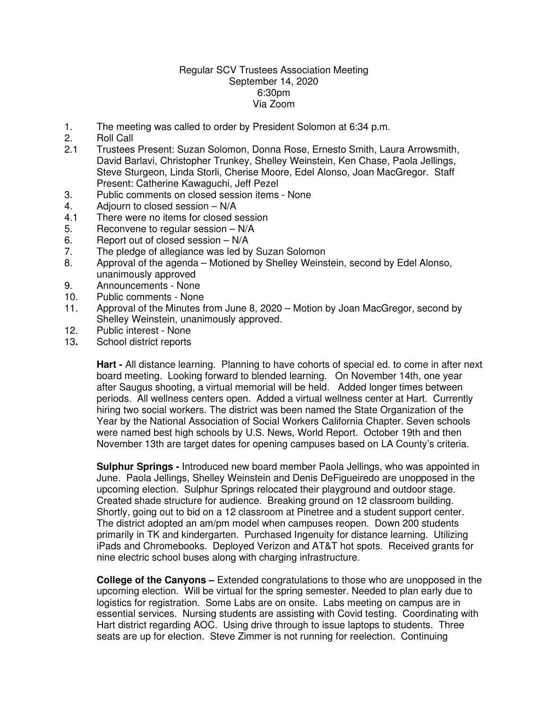## Regular SCV Trustees Association Meeting September 14, 2020 6:30pm Via Zoom

- 1. The meeting was called to order by President Solomon at 6:34 p.m.
- 2. Roll Call
- 2.1 Trustees Present: Suzan Solomon, Donna Rose, Ernesto Smith, Laura Arrowsmith, David Barlavi, Christopher Trunkey, Shelley Weinstein, Ken Chase, Paola Jellings, Steve Sturgeon, Linda Storli, Cherise Moore, Edel Alonso, Joan MacGregor. Staff Present: Catherine Kawaguchi, Jeff Pezel
- 3. Public comments on closed session items None
- 4. Adjourn to closed session N/A
- 4.1 There were no items for closed session
- 5. Reconvene to regular session N/A
- 6. Report out of closed session N/A
- 7. The pledge of allegiance was led by Suzan Solomon
- 8. Approval of the agenda Motioned by Shelley Weinstein, second by Edel Alonso, unanimously approved
- 9. Announcements None
- 10. Public comments None
- 11. Approval of the Minutes from June 8, 2020 Motion by Joan MacGregor, second by Shelley Weinstein, unanimously approved.
- 12. Public interest None
- 13**.** School district reports

**Hart -** All distance learning. Planning to have cohorts of special ed. to come in after next board meeting. Looking forward to blended learning. On November 14th, one year after Saugus shooting, a virtual memorial will be held. Added longer times between periods. All wellness centers open. Added a virtual wellness center at Hart. Currently hiring two social workers. The district was been named the State Organization of the Year by the National Association of Social Workers California Chapter. Seven schools were named best high schools by U.S. News, World Report. October 19th and then November 13th are target dates for opening campuses based on LA County's criteria.

**Sulphur Springs -** Introduced new board member Paola Jellings, who was appointed in June. Paola Jellings, Shelley Weinstein and Denis DeFigueiredo are unopposed in the upcoming election. Sulphur Springs relocated their playground and outdoor stage. Created shade structure for audience. Breaking ground on 12 classroom building. Shortly, going out to bid on a 12 classroom at Pinetree and a student support center. The district adopted an am/pm model when campuses reopen. Down 200 students primarily in TK and kindergarten. Purchased Ingenuity for distance learning. Utilizing iPads and Chromebooks. Deployed Verizon and AT&T hot spots. Received grants for nine electric school buses along with charging infrastructure.

**College of the Canyons –** Extended congratulations to those who are unopposed in the upcoming election. Will be virtual for the spring semester. Needed to plan early due to logistics for registration. Some Labs are on onsite. Labs meeting on campus are in essential services. Nursing students are assisting with Covid testing. Coordinating with Hart district regarding AOC. Using drive through to issue laptops to students. Three seats are up for election. Steve Zimmer is not running for reelection. Continuing